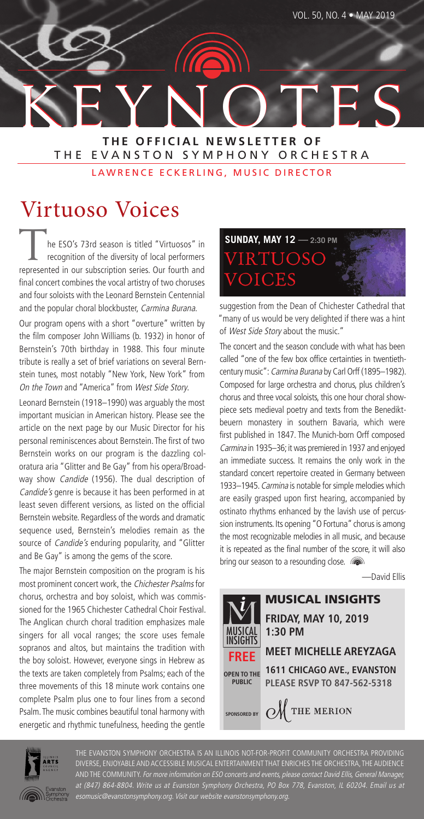

#### **THE OFFICIAL NEWSLETTER OF** THE EVANSTON SYMPHONY ORCHESTRA

LAWRENCE ECKERLING, MUSIC DIRECTOR

# Virtuoso Voices

he ESO's 73rd season is titled "Virtuosos" in recognition of the diversity of local performers represented in our subscription series. Our fourth and final concert combines the vocal artistry of two choruses and four soloists with the Leonard Bernstein Centennial and the popular choral blockbuster, Carmina Burana.

Our program opens with a short "overture" written by the film composer John Williams (b. 1932) in honor of Bernstein's 70th birthday in 1988. This four minute tribute is really a set of brief variations on several Bernstein tunes, most notably "New York, New York" from On the Town and "America" from West Side Story.

Leonard Bernstein (1918–1990) was arguably the most important musician in American history. Please see the article on the next page by our Music Director for his personal reminiscences about Bernstein. The first of two Bernstein works on our program is the dazzling coloratura aria "Glitter and Be Gay" from his opera/Broadway show Candide (1956). The dual description of Candide's genre is because it has been performed in at least seven different versions, as listed on the official Bernstein website. Regardless of the words and dramatic sequence used, Bernstein's melodies remain as the source of *Candide's* enduring popularity, and "Glitter and Be Gay" is among the gems of the score.

The major Bernstein composition on the program is his most prominent concert work, the Chichester Psalms for chorus, orchestra and boy soloist, which was commissioned for the 1965 Chichester Cathedral Choir Festival. The Anglican church choral tradition emphasizes male singers for all vocal ranges; the score uses female sopranos and altos, but maintains the tradition with the boy soloist. However, everyone sings in Hebrew as the texts are taken completely from Psalms; each of the three movements of this 18 minute work contains one complete Psalm plus one to four lines from a second Psalm. The music combines beautiful tonal harmony with energetic and rhythmic tunefulness, heeding the gentle



suggestion from the Dean of Chichester Cathedral that "many of us would be very delighted if there was a hint of West Side Story about the music."

The concert and the season conclude with what has been called "one of the few box office certainties in twentiethcentury music": Carmina Burana by Carl Orff (1895–1982). Composed for large orchestra and chorus, plus children's chorus and three vocal soloists, this one hour choral showpiece sets medieval poetry and texts from the Benediktbeuern monastery in southern Bavaria, which were first published in 1847. The Munich-born Orff composed Carmina in 1935–36; it was premiered in 1937 and enjoyed an immediate success. It remains the only work in the standard concert repertoire created in Germany between 1933–1945. Carmina is notable for simple melodies which are easily grasped upon first hearing, accompanied by ostinato rhythms enhanced by the lavish use of percussion instruments. Its opening "O Fortuna" chorus is among the most recognizable melodies in all music, and because it is repeated as the final number of the score, it will also bring our season to a resounding close.

—David Ellis





THE EVANSTON SYMPHONY ORCHESTRA IS AN ILLINOIS NOT-FOR-PROFIT COMMUNITY ORCHESTRA PROVIDING DIVERSE, ENJOYABLE AND ACCESSIBLE MUSICAL ENTERTAINMENT THAT ENRICHES THE ORCHESTRA, THE AUDIENCE AND THE COMMUNITY. For more information on ESO concerts and events, please contact David Ellis, General Manager, at (847) 864-8804. Write us at Evanston Symphony Orchestra, PO Box 778, Evanston, IL 60204. Email us at esomusic@evanstonsymphony.org. Visit our website evanstonsymphony.org.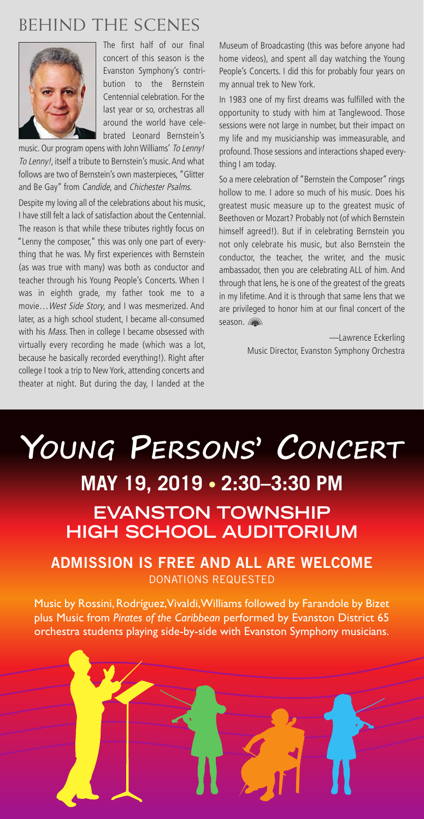## BEHIND THE SCENES



The first half of our final concert of this season is the Evanston Symphony's contribution to the Bernstein Centennial celebration. For the last year or so, orchestras all around the world have celebrated Leonard Bernstein's

music. Our program opens with John Williams' To Lenny! To Lenny!, itself a tribute to Bernstein's music. And what follows are two of Bernstein's own masterpieces, "Glitter and Be Gay" from Candide, and Chichester Psalms.

Despite my loving all of the celebrations about his music, I have still felt a lack of satisfaction about the Centennial. The reason is that while these tributes rightly focus on "Lenny the composer," this was only one part of everything that he was. My first experiences with Bernstein (as was true with many) was both as conductor and teacher through his Young People's Concerts. When I was in eighth grade, my father took me to a movie…West Side Story, and I was mesmerized. And later, as a high school student, I became all-consumed with his Mass. Then in college I became obsessed with virtually every recording he made (which was a lot, because he basically recorded everything!). Right after college I took a trip to New York, attending concerts and theater at night. But during the day, I landed at the

Museum of Broadcasting (this was before anyone had home videos), and spent all day watching the Young People's Concerts. I did this for probably four years on my annual trek to New York.

In 1983 one of my first dreams was fulfilled with the opportunity to study with him at Tanglewood. Those sessions were not large in number, but their impact on my life and my musicianship was immeasurable, and profound. Those sessions and interactions shaped everything I am today.

So a mere celebration of "Bernstein the Composer" rings hollow to me. I adore so much of his music. Does his greatest music measure up to the greatest music of Beethoven or Mozart? Probably not (of which Bernstein himself agreed!). But if in celebrating Bernstein you not only celebrate his music, but also Bernstein the conductor, the teacher, the writer, and the music ambassador, then you are celebrating ALL of him. And through that lens, he is one of the greatest of the greats in my lifetime. And it is through that same lens that we are privileged to honor him at our final concert of the season.

> —Lawrence Eckerling Music Director, Evanston Symphony Orchestra

# **YOUNG PERSONS' CONCERT MAY 19, 2019 • 2:30–3:30 PM EVANSTON TOWNSHIP HIGH SCHOOL AUDITORIUM**

#### **ADMISSION IS FREE AND ALL ARE WELCOME** DONATIONS REQUESTED

Music by Rossini, Rodríguez, Vivaldi, Williams followed by Farandole by Bizet plus Music from *Pirates of the Caribbean* performed by Evanston District 65 orchestra students playing side-by-side with Evanston Symphony musicians.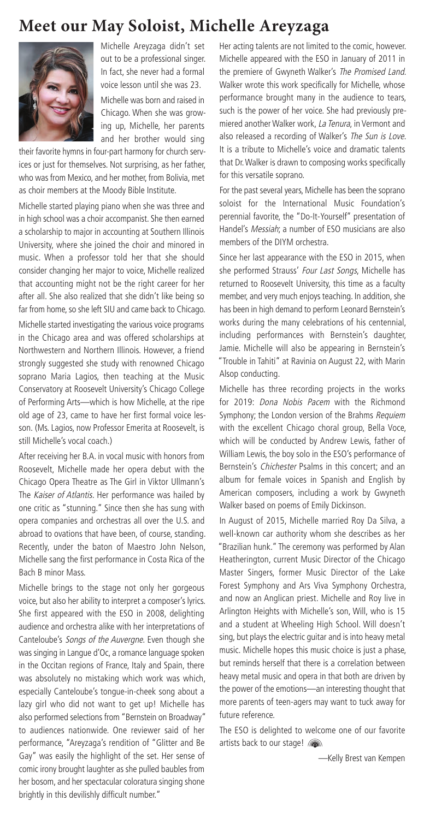#### **Meet our May Soloist, Michelle Areyzaga**



Michelle Areyzaga didn't set out to be a professional singer. In fact, she never had a formal voice lesson until she was 23.

Michelle was born and raised in Chicago. When she was growing up, Michelle, her parents and her brother would sing

their favorite hymns in four-part harmony for church services or just for themselves. Not surprising, as her father, who was from Mexico, and her mother, from Bolivia, met as choir members at the Moody Bible Institute.

Michelle started playing piano when she was three and in high school was a choir accompanist. She then earned a scholarship to major in accounting at Southern Illinois University, where she joined the choir and minored in music. When a professor told her that she should consider changing her major to voice, Michelle realized that accounting might not be the right career for her after all. She also realized that she didn't like being so far from home, so she left SIU and came back to Chicago.

Michelle started investigating the various voice programs in the Chicago area and was offered scholarships at Northwestern and Northern Illinois. However, a friend strongly suggested she study with renowned Chicago soprano Maria Lagios, then teaching at the Music Conservatory at Roosevelt University's Chicago College of Performing Arts—which is how Michelle, at the ripe old age of 23, came to have her first formal voice lesson. (Ms. Lagios, now Professor Emerita at Roosevelt, is still Michelle's vocal coach.)

After receiving her B.A. in vocal music with honors from Roosevelt, Michelle made her opera debut with the Chicago Opera Theatre as The Girl in Viktor Ullmann's The Kaiser of Atlantis. Her performance was hailed by one critic as "stunning." Since then she has sung with opera companies and orchestras all over the U.S. and abroad to ovations that have been, of course, standing. Recently, under the baton of Maestro John Nelson, Michelle sang the first performance in Costa Rica of the Bach B minor Mass.

Michelle brings to the stage not only her gorgeous voice, but also her ability to interpret a composer's lyrics. She first appeared with the ESO in 2008, delighting audience and orchestra alike with her interpretations of Canteloube's Songs of the Auvergne. Even though she was singing in Langue d'Oc, a romance language spoken in the Occitan regions of France, Italy and Spain, there was absolutely no mistaking which work was which, especially Canteloube's tongue-in-cheek song about a lazy girl who did not want to get up! Michelle has also performed selections from "Bernstein on Broadway" to audiences nationwide. One reviewer said of her performance, "Areyzaga's rendition of "Glitter and Be Gay" was easily the highlight of the set. Her sense of comic irony brought laughter as she pulled baubles from her bosom, and her spectacular coloratura singing shone brightly in this devilishly difficult number."

Her acting talents are not limited to the comic, however. Michelle appeared with the ESO in January of 2011 in the premiere of Gwyneth Walker's The Promised Land. Walker wrote this work specifically for Michelle, whose performance brought many in the audience to tears, such is the power of her voice. She had previously premiered another Walker work, La Tenura, in Vermont and also released a recording of Walker's The Sun is Love. It is a tribute to Michelle's voice and dramatic talents that Dr.Walker is drawn to composing works specifically for this versatile soprano.

For the past several years, Michelle has been the soprano soloist for the International Music Foundation's perennial favorite, the "Do-It-Yourself" presentation of Handel's Messiah; a number of ESO musicians are also members of the DIYM orchestra.

Since her last appearance with the ESO in 2015, when she performed Strauss' Four Last Songs, Michelle has returned to Roosevelt University, this time as a faculty member, and very much enjoys teaching. In addition, she has been in high demand to perform Leonard Bernstein's works during the many celebrations of his centennial, including performances with Bernstein's daughter, Jamie. Michelle will also be appearing in Bernstein's "Trouble in Tahiti" at Ravinia on August 22, with Marin Alsop conducting.

Michelle has three recording projects in the works for 2019: Dona Nobis Pacem with the Richmond Symphony; the London version of the Brahms Requiem with the excellent Chicago choral group, Bella Voce, which will be conducted by Andrew Lewis, father of William Lewis, the boy solo in the ESO's performance of Bernstein's Chichester Psalms in this concert; and an album for female voices in Spanish and English by American composers, including a work by Gwyneth Walker based on poems of Emily Dickinson.

In August of 2015, Michelle married Roy Da Silva, a well-known car authority whom she describes as her "Brazilian hunk." The ceremony was performed by Alan Heatherington, current Music Director of the Chicago Master Singers, former Music Director of the Lake Forest Symphony and Ars Viva Symphony Orchestra, and now an Anglican priest. Michelle and Roy live in Arlington Heights with Michelle's son, Will, who is 15 and a student at Wheeling High School. Will doesn't sing, but plays the electric guitar and is into heavy metal music. Michelle hopes this music choice is just a phase, but reminds herself that there is a correlation between heavy metal music and opera in that both are driven by the power of the emotions—an interesting thought that more parents of teen-agers may want to tuck away for future reference.

The ESO is delighted to welcome one of our favorite artists back to our stage!

—Kelly Brest van Kempen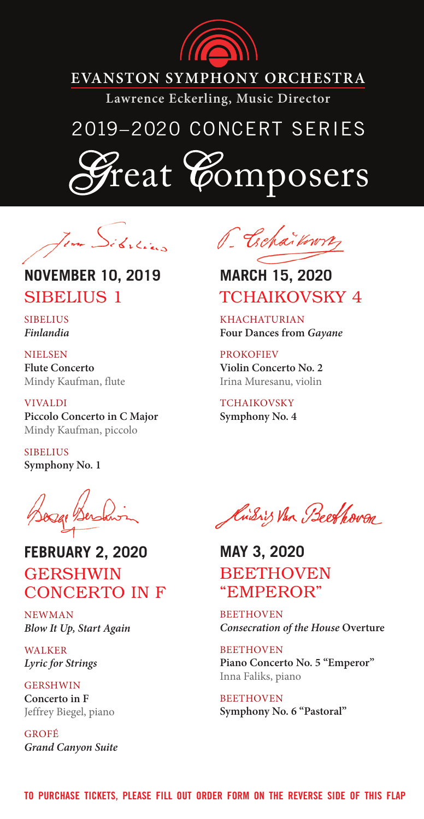

### **EVANSTON SYMPHONY ORCHESTRA**

**Lawrence Eckerling, Music Director**

# 2019–2020 CONCERT SERIES

eat *C*omposers

## **NOVEMBER 10, 2019** SIBELIUS 1

**SIBELIUS** *Finlandia*

**NIELSEN Flute Concerto** Mindy Kaufman, flute

ViValdi **Piccolo Concerto in C Major** Mindy Kaufman, piccolo

**SIBELIUS Symphony No. 1**

**FEBRUARY 2, 2020 GERSHWIN** CONCERTO IN F

NewMaN *Blow It Up, Start Again*

**WALKER** *Lyric for Strings*

**GERSHWIN Concerto in F** Jeffrey biegel, piano

Grofé *Grand Canyon Suite*



### **MARCH 15, 2020** TCHAIKOVSKY 4

**KHACHATURIAN Four Dances from** *Gayane* 

**PROKOFIEV Violin Concerto No. 2** Irina Muresanu, violin

TCHAIKOVSKY **Symphony No. 4**

Kussis Van Beethoven

**MAY 3, 2020** BEETHOVEN "EMPEROR"

**BEETHOVEN** *Consecration of the House* **Overture**

**BEETHOVEN Piano Concerto No. 5 "Emperor"** Inna Faliks, piano

**BEETHOVEN Symphony No. 6 "Pastoral"**